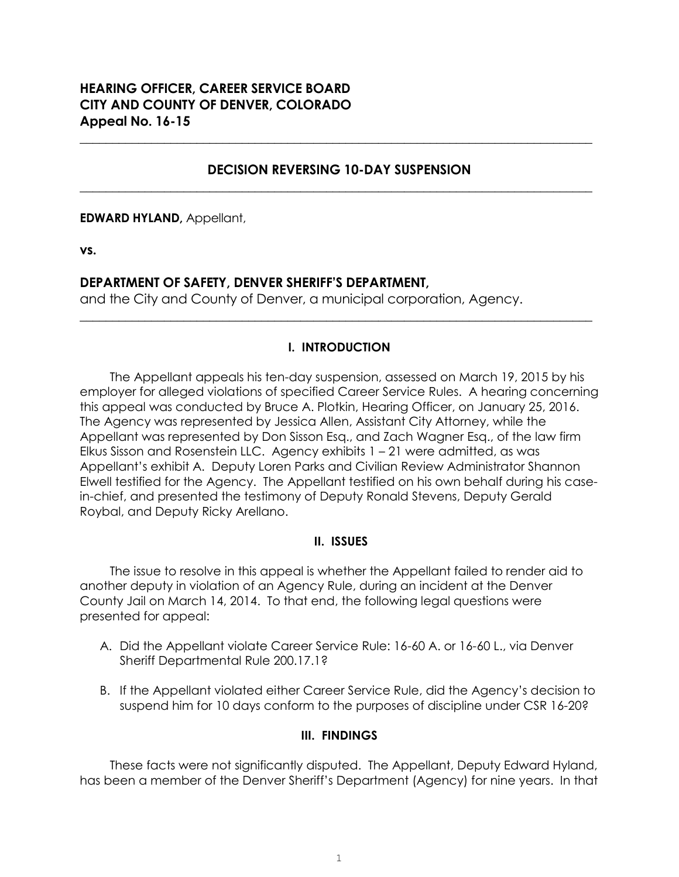# **HEARING OFFICER, CAREER SERVICE BOARD CITY AND COUNTY OF DENVER, COLORADO Appeal No. 16-15**

## **DECISION REVERSING 10-DAY SUSPENSION \_\_\_\_\_\_\_\_\_\_\_\_\_\_\_\_\_\_\_\_\_\_\_\_\_\_\_\_\_\_\_\_\_\_\_\_\_\_\_\_\_\_\_\_\_\_\_\_\_\_\_\_\_\_\_\_\_\_\_\_\_\_\_\_\_\_\_\_\_\_\_\_\_\_\_\_\_\_\_**

**\_\_\_\_\_\_\_\_\_\_\_\_\_\_\_\_\_\_\_\_\_\_\_\_\_\_\_\_\_\_\_\_\_\_\_\_\_\_\_\_\_\_\_\_\_\_\_\_\_\_\_\_\_\_\_\_\_\_\_\_\_\_\_\_\_\_\_\_\_\_\_\_\_\_\_\_\_\_\_**

**EDWARD HYLAND,** Appellant,

**vs.**

## **DEPARTMENT OF SAFETY, DENVER SHERIFF'S DEPARTMENT,**

and the City and County of Denver, a municipal corporation, Agency.

## **I. INTRODUCTION**

**\_\_\_\_\_\_\_\_\_\_\_\_\_\_\_\_\_\_\_\_\_\_\_\_\_\_\_\_\_\_\_\_\_\_\_\_\_\_\_\_\_\_\_\_\_\_\_\_\_\_\_\_\_\_\_\_\_\_\_\_\_\_\_\_\_\_\_\_\_\_\_\_\_\_\_\_\_\_\_**

The Appellant appeals his ten-day suspension, assessed on March 19, 2015 by his employer for alleged violations of specified Career Service Rules. A hearing concerning this appeal was conducted by Bruce A. Plotkin, Hearing Officer, on January 25, 2016. The Agency was represented by Jessica Allen, Assistant City Attorney, while the Appellant was represented by Don Sisson Esq., and Zach Wagner Esq., of the law firm Elkus Sisson and Rosenstein LLC. Agency exhibits 1 – 21 were admitted, as was Appellant's exhibit A. Deputy Loren Parks and Civilian Review Administrator Shannon Elwell testified for the Agency. The Appellant testified on his own behalf during his casein-chief, and presented the testimony of Deputy Ronald Stevens, Deputy Gerald Roybal, and Deputy Ricky Arellano.

### **II. ISSUES**

The issue to resolve in this appeal is whether the Appellant failed to render aid to another deputy in violation of an Agency Rule, during an incident at the Denver County Jail on March 14, 2014. To that end, the following legal questions were presented for appeal:

- A. Did the Appellant violate Career Service Rule: 16-60 A. or 16-60 L., via Denver Sheriff Departmental Rule 200.17.1?
- B. If the Appellant violated either Career Service Rule, did the Agency's decision to suspend him for 10 days conform to the purposes of discipline under CSR 16-20?

### **III. FINDINGS**

These facts were not significantly disputed. The Appellant, Deputy Edward Hyland, has been a member of the Denver Sheriff's Department (Agency) for nine years. In that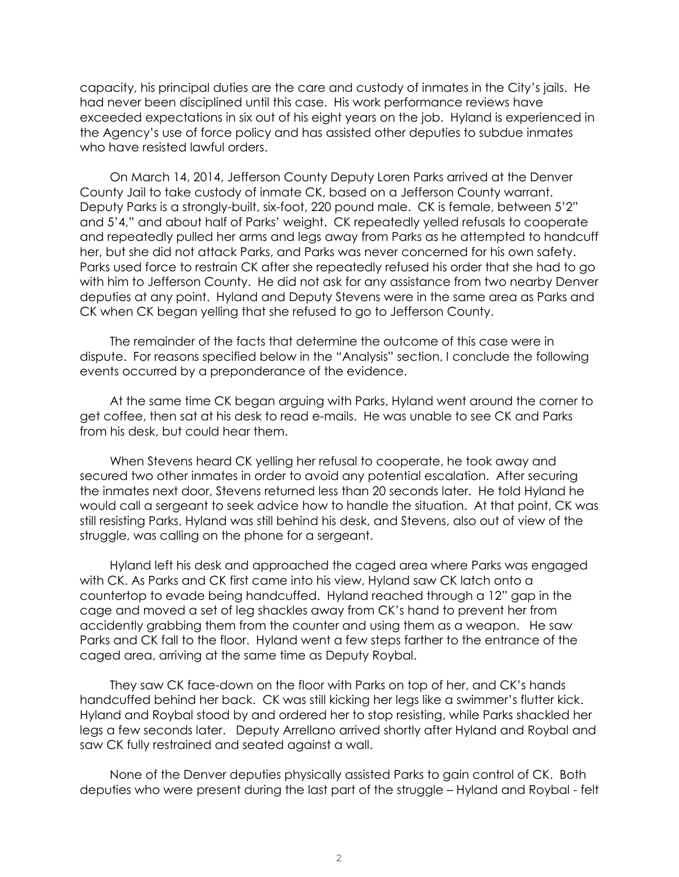capacity, his principal duties are the care and custody of inmates in the City's jails. He had never been disciplined until this case. His work performance reviews have exceeded expectations in six out of his eight years on the job. Hyland is experienced in the Agency's use of force policy and has assisted other deputies to subdue inmates who have resisted lawful orders.

On March 14, 2014, Jefferson County Deputy Loren Parks arrived at the Denver County Jail to take custody of inmate CK, based on a Jefferson County warrant. Deputy Parks is a strongly-built, six-foot, 220 pound male. CK is female, between 5'2" and 5'4," and about half of Parks' weight. CK repeatedly yelled refusals to cooperate and repeatedly pulled her arms and legs away from Parks as he attempted to handcuff her, but she did not attack Parks, and Parks was never concerned for his own safety. Parks used force to restrain CK after she repeatedly refused his order that she had to go with him to Jefferson County. He did not ask for any assistance from two nearby Denver deputies at any point. Hyland and Deputy Stevens were in the same area as Parks and CK when CK began yelling that she refused to go to Jefferson County.

The remainder of the facts that determine the outcome of this case were in dispute. For reasons specified below in the "Analysis" section, I conclude the following events occurred by a preponderance of the evidence.

At the same time CK began arguing with Parks, Hyland went around the corner to get coffee, then sat at his desk to read e-mails. He was unable to see CK and Parks from his desk, but could hear them.

When Stevens heard CK yelling her refusal to cooperate, he took away and secured two other inmates in order to avoid any potential escalation. After securing the inmates next door, Stevens returned less than 20 seconds later. He told Hyland he would call a sergeant to seek advice how to handle the situation. At that point, CK was still resisting Parks, Hyland was still behind his desk, and Stevens, also out of view of the struggle, was calling on the phone for a sergeant.

Hyland left his desk and approached the caged area where Parks was engaged with CK. As Parks and CK first came into his view, Hyland saw CK latch onto a countertop to evade being handcuffed. Hyland reached through a 12" gap in the cage and moved a set of leg shackles away from CK's hand to prevent her from accidently grabbing them from the counter and using them as a weapon. He saw Parks and CK fall to the floor. Hyland went a few steps farther to the entrance of the caged area, arriving at the same time as Deputy Roybal.

They saw CK face-down on the floor with Parks on top of her, and CK's hands handcuffed behind her back. CK was still kicking her legs like a swimmer's flutter kick. Hyland and Roybal stood by and ordered her to stop resisting, while Parks shackled her legs a few seconds later. Deputy Arrellano arrived shortly after Hyland and Roybal and saw CK fully restrained and seated against a wall.

None of the Denver deputies physically assisted Parks to gain control of CK. Both deputies who were present during the last part of the struggle – Hyland and Roybal - felt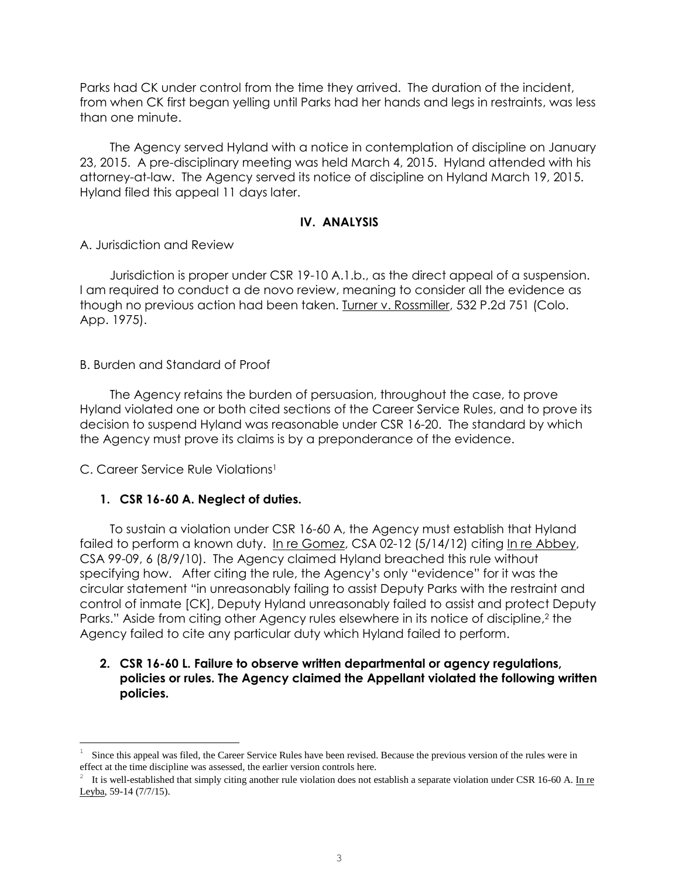Parks had CK under control from the time they arrived. The duration of the incident, from when CK first began yelling until Parks had her hands and legs in restraints, was less than one minute.

The Agency served Hyland with a notice in contemplation of discipline on January 23, 2015. A pre-disciplinary meeting was held March 4, 2015. Hyland attended with his attorney-at-law. The Agency served its notice of discipline on Hyland March 19, 2015. Hyland filed this appeal 11 days later.

## **IV. ANALYSIS**

A. Jurisdiction and Review

Jurisdiction is proper under CSR 19-10 A.1.b., as the direct appeal of a suspension. I am required to conduct a de novo review, meaning to consider all the evidence as though no previous action had been taken. Turner v. Rossmiller, 532 P.2d 751 (Colo. App. 1975).

#### B. Burden and Standard of Proof

The Agency retains the burden of persuasion, throughout the case, to prove Hyland violated one or both cited sections of the Career Service Rules, and to prove its decision to suspend Hyland was reasonable under CSR 16-20. The standard by which the Agency must prove its claims is by a preponderance of the evidence.

C. Career Service Rule Violations<sup>1</sup>

i<br>L

#### **1. CSR 16-60 A. Neglect of duties.**

To sustain a violation under CSR 16-60 A, the Agency must establish that Hyland failed to perform a known duty. In re Gomez, CSA 02-12 (5/14/12) citing In re Abbey, CSA 99-09, 6 (8/9/10). The Agency claimed Hyland breached this rule without specifying how. After citing the rule, the Agency's only "evidence" for it was the circular statement "in unreasonably failing to assist Deputy Parks with the restraint and control of inmate [CK], Deputy Hyland unreasonably failed to assist and protect Deputy Parks." Aside from citing other Agency rules elsewhere in its notice of discipline,<sup>2</sup> the Agency failed to cite any particular duty which Hyland failed to perform.

### **2. CSR 16-60 L. Failure to observe written departmental or agency regulations, policies or rules. The Agency claimed the Appellant violated the following written policies.**

<sup>1</sup> Since this appeal was filed, the Career Service Rules have been revised. Because the previous version of the rules were in effect at the time discipline was assessed, the earlier version controls here.

<sup>2</sup> It is well-established that simply citing another rule violation does not establish a separate violation under CSR 16-60 A. In re Leyba, 59-14 (7/7/15).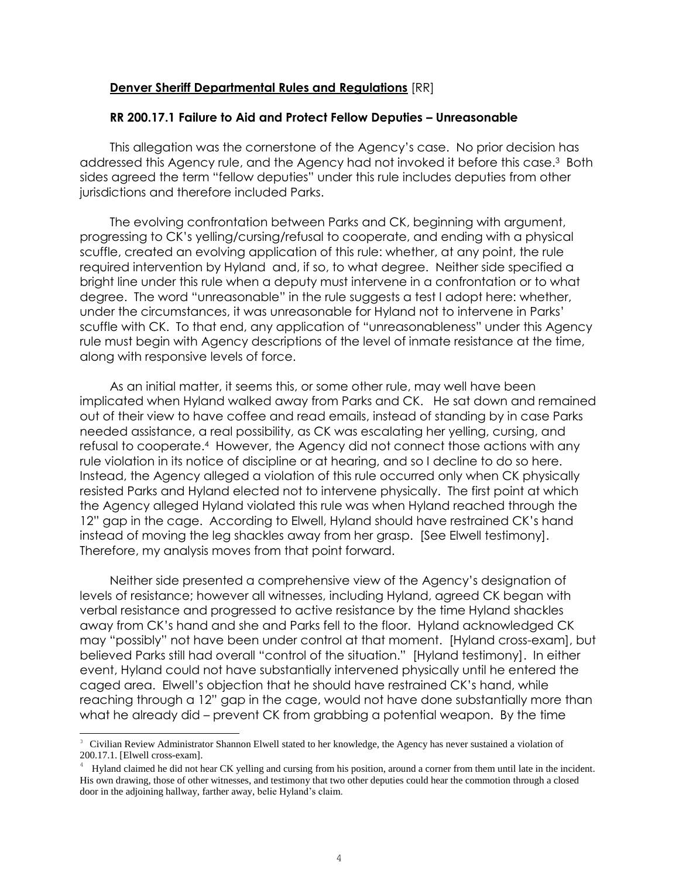#### **Denver Sheriff Departmental Rules and Regulations** [RR]

#### **RR 200.17.1 Failure to Aid and Protect Fellow Deputies – Unreasonable**

This allegation was the cornerstone of the Agency's case. No prior decision has addressed this Agency rule, and the Agency had not invoked it before this case.<sup>3</sup> Both sides agreed the term "fellow deputies" under this rule includes deputies from other jurisdictions and therefore included Parks.

The evolving confrontation between Parks and CK, beginning with argument, progressing to CK's yelling/cursing/refusal to cooperate, and ending with a physical scuffle, created an evolving application of this rule: whether, at any point, the rule required intervention by Hyland and, if so, to what degree. Neither side specified a bright line under this rule when a deputy must intervene in a confrontation or to what degree. The word "unreasonable" in the rule suggests a test I adopt here: whether, under the circumstances, it was unreasonable for Hyland not to intervene in Parks' scuffle with CK. To that end, any application of "unreasonableness" under this Agency rule must begin with Agency descriptions of the level of inmate resistance at the time, along with responsive levels of force.

As an initial matter, it seems this, or some other rule, may well have been implicated when Hyland walked away from Parks and CK. He sat down and remained out of their view to have coffee and read emails, instead of standing by in case Parks needed assistance, a real possibility, as CK was escalating her yelling, cursing, and refusal to cooperate. <sup>4</sup> However, the Agency did not connect those actions with any rule violation in its notice of discipline or at hearing, and so I decline to do so here. Instead, the Agency alleged a violation of this rule occurred only when CK physically resisted Parks and Hyland elected not to intervene physically. The first point at which the Agency alleged Hyland violated this rule was when Hyland reached through the 12" gap in the cage. According to Elwell, Hyland should have restrained CK's hand instead of moving the leg shackles away from her grasp. [See Elwell testimony]. Therefore, my analysis moves from that point forward.

Neither side presented a comprehensive view of the Agency's designation of levels of resistance; however all witnesses, including Hyland, agreed CK began with verbal resistance and progressed to active resistance by the time Hyland shackles away from CK's hand and she and Parks fell to the floor. Hyland acknowledged CK may "possibly" not have been under control at that moment. [Hyland cross-exam], but believed Parks still had overall "control of the situation." [Hyland testimony]. In either event, Hyland could not have substantially intervened physically until he entered the caged area. Elwell's objection that he should have restrained CK's hand, while reaching through a 12" gap in the cage, would not have done substantially more than what he already did – prevent CK from grabbing a potential weapon. By the time

i<br>L

<sup>&</sup>lt;sup>3</sup> Civilian Review Administrator Shannon Elwell stated to her knowledge, the Agency has never sustained a violation of 200.17.1. [Elwell cross-exam].

<sup>4</sup> Hyland claimed he did not hear CK yelling and cursing from his position, around a corner from them until late in the incident. His own drawing, those of other witnesses, and testimony that two other deputies could hear the commotion through a closed door in the adjoining hallway, farther away, belie Hyland's claim.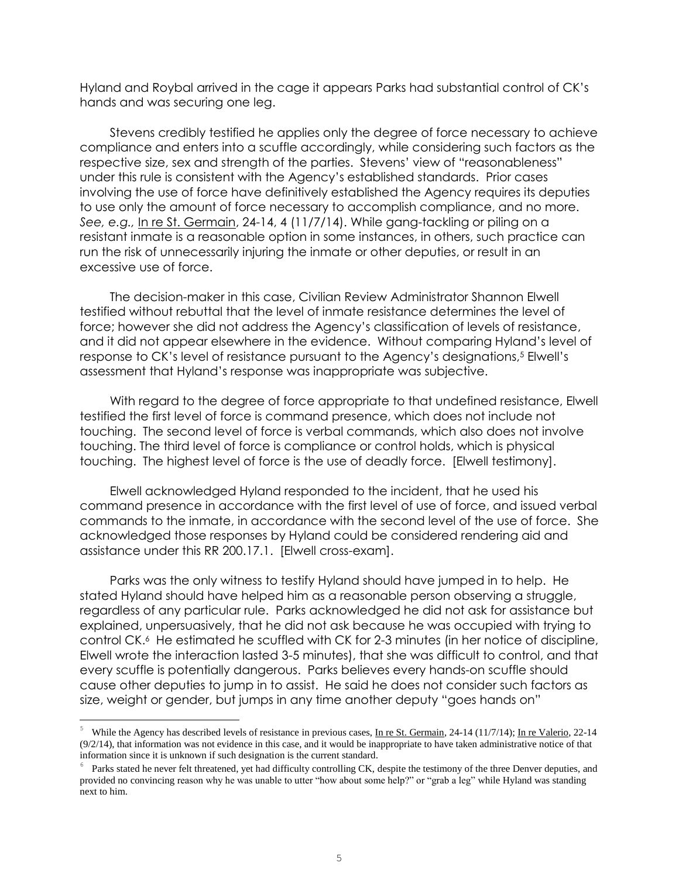Hyland and Roybal arrived in the cage it appears Parks had substantial control of CK's hands and was securing one leg.

Stevens credibly testified he applies only the degree of force necessary to achieve compliance and enters into a scuffle accordingly, while considering such factors as the respective size, sex and strength of the parties. Stevens' view of "reasonableness" under this rule is consistent with the Agency's established standards. Prior cases involving the use of force have definitively established the Agency requires its deputies to use only the amount of force necessary to accomplish compliance, and no more. *See, e.g.,* In re St. Germain, 24-14, 4 (11/7/14). While gang-tackling or piling on a resistant inmate is a reasonable option in some instances, in others, such practice can run the risk of unnecessarily injuring the inmate or other deputies, or result in an excessive use of force.

The decision-maker in this case, Civilian Review Administrator Shannon Elwell testified without rebuttal that the level of inmate resistance determines the level of force; however she did not address the Agency's classification of levels of resistance, and it did not appear elsewhere in the evidence. Without comparing Hyland's level of response to CK's level of resistance pursuant to the Agency's designations, <sup>5</sup> Elwell's assessment that Hyland's response was inappropriate was subjective.

With regard to the degree of force appropriate to that undefined resistance, Elwell testified the first level of force is command presence, which does not include not touching. The second level of force is verbal commands, which also does not involve touching. The third level of force is compliance or control holds, which is physical touching. The highest level of force is the use of deadly force. [Elwell testimony].

Elwell acknowledged Hyland responded to the incident, that he used his command presence in accordance with the first level of use of force, and issued verbal commands to the inmate, in accordance with the second level of the use of force. She acknowledged those responses by Hyland could be considered rendering aid and assistance under this RR 200.17.1. [Elwell cross-exam].

Parks was the only witness to testify Hyland should have jumped in to help. He stated Hyland should have helped him as a reasonable person observing a struggle, regardless of any particular rule. Parks acknowledged he did not ask for assistance but explained, unpersuasively, that he did not ask because he was occupied with trying to control CK.<sup>6</sup> He estimated he scuffled with CK for 2-3 minutes (in her notice of discipline, Elwell wrote the interaction lasted 3-5 minutes), that she was difficult to control, and that every scuffle is potentially dangerous. Parks believes every hands-on scuffle should cause other deputies to jump in to assist. He said he does not consider such factors as size, weight or gender, but jumps in any time another deputy "goes hands on"

i<br>L

<sup>&</sup>lt;sup>5</sup> While the Agency has described levels of resistance in previous cases, In re St. Germain, 24-14 (11/7/14); In re Valerio, 22-14 (9/2/14), that information was not evidence in this case, and it would be inappropriate to have taken administrative notice of that information since it is unknown if such designation is the current standard.

<sup>6</sup> Parks stated he never felt threatened, yet had difficulty controlling CK, despite the testimony of the three Denver deputies, and provided no convincing reason why he was unable to utter "how about some help?" or "grab a leg" while Hyland was standing next to him.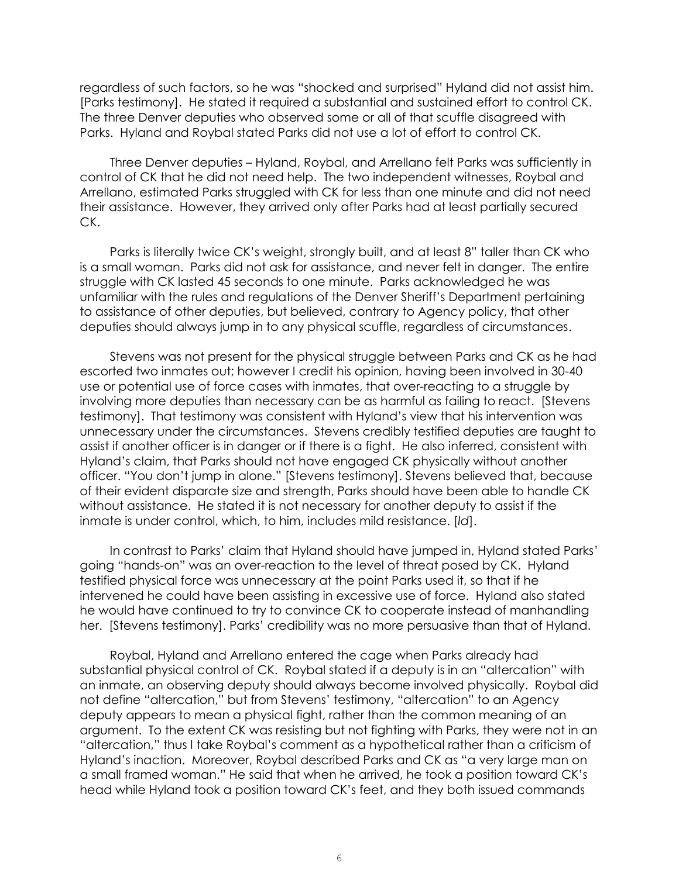regardless of such factors, so he was "shocked and surprised" Hyland did not assist him. [Parks testimony]. He stated it required a substantial and sustained effort to control CK. The three Denver deputies who observed some or all of that scuffle disagreed with Parks. Hyland and Roybal stated Parks did not use a lot of effort to control CK.

Three Denver deputies – Hyland, Roybal, and Arrellano felt Parks was sufficiently in control of CK that he did not need help.The two independent witnesses, Roybal and Arrellano, estimated Parks struggled with CK for less than one minute and did not need their assistance. However, they arrived only after Parks had at least partially secured CK.

Parks is literally twice CK's weight, strongly built, and at least 8" taller than CK who is a small woman. Parks did not ask for assistance, and never felt in danger. The entire struggle with CK lasted 45 seconds to one minute. Parks acknowledged he was unfamiliar with the rules and regulations of the Denver Sheriff's Department pertaining to assistance of other deputies, but believed, contrary to Agency policy, that other deputies should always jump in to any physical scuffle, regardless of circumstances.

Stevens was not present for the physical struggle between Parks and CK as he had escorted two inmates out; however I credit his opinion, having been involved in 30-40 use or potential use of force cases with inmates, that over-reacting to a struggle by involving more deputies than necessary can be as harmful as failing to react. [Stevens testimony]. That testimony was consistent with Hyland's view that his intervention was unnecessary under the circumstances. Stevens credibly testified deputies are taught to assist if another officer is in danger or if there is a fight. He also inferred, consistent with Hyland's claim, that Parks should not have engaged CK physically without another officer. "You don't jump in alone." [Stevens testimony]. Stevens believed that, because of their evident disparate size and strength, Parks should have been able to handle CK without assistance. He stated it is not necessary for another deputy to assist if the inmate is under control, which, to him, includes mild resistance. [*Id*].

In contrast to Parks' claim that Hyland should have jumped in, Hyland stated Parks' going "hands-on" was an over-reaction to the level of threat posed by CK. Hyland testified physical force was unnecessary at the point Parks used it, so that if he intervened he could have been assisting in excessive use of force. Hyland also stated he would have continued to try to convince CK to cooperate instead of manhandling her. [Stevens testimony]. Parks' credibility was no more persuasive than that of Hyland.

Roybal, Hyland and Arrellano entered the cage when Parks already had substantial physical control of CK. Roybal stated if a deputy is in an "altercation" with an inmate, an observing deputy should always become involved physically. Roybal did not define "altercation," but from Stevens' testimony, "altercation" to an Agency deputy appears to mean a physical fight, rather than the common meaning of an argument. To the extent CK was resisting but not fighting with Parks, they were not in an "altercation," thus I take Roybal's comment as a hypothetical rather than a criticism of Hyland's inaction. Moreover, Roybal described Parks and CK as "a very large man on a small framed woman." He said that when he arrived, he took a position toward CK's head while Hyland took a position toward CK's feet, and they both issued commands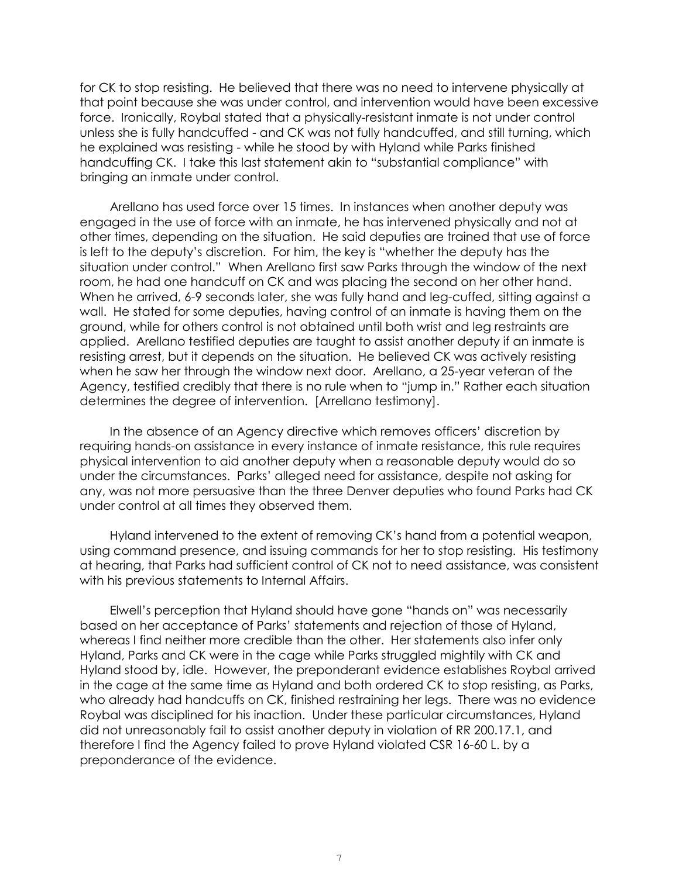for CK to stop resisting. He believed that there was no need to intervene physically at that point because she was under control, and intervention would have been excessive force. Ironically, Roybal stated that a physically-resistant inmate is not under control unless she is fully handcuffed - and CK was not fully handcuffed, and still turning, which he explained was resisting - while he stood by with Hyland while Parks finished handcuffing CK. I take this last statement akin to "substantial compliance" with bringing an inmate under control.

Arellano has used force over 15 times. In instances when another deputy was engaged in the use of force with an inmate, he has intervened physically and not at other times, depending on the situation. He said deputies are trained that use of force is left to the deputy's discretion. For him, the key is "whether the deputy has the situation under control." When Arellano first saw Parks through the window of the next room, he had one handcuff on CK and was placing the second on her other hand. When he arrived, 6-9 seconds later, she was fully hand and leg-cuffed, sitting against a wall. He stated for some deputies, having control of an inmate is having them on the ground, while for others control is not obtained until both wrist and leg restraints are applied. Arellano testified deputies are taught to assist another deputy if an inmate is resisting arrest, but it depends on the situation. He believed CK was actively resisting when he saw her through the window next door. Arellano, a 25-year veteran of the Agency, testified credibly that there is no rule when to "jump in." Rather each situation determines the degree of intervention. [Arrellano testimony].

In the absence of an Agency directive which removes officers' discretion by requiring hands-on assistance in every instance of inmate resistance, this rule requires physical intervention to aid another deputy when a reasonable deputy would do so under the circumstances. Parks' alleged need for assistance, despite not asking for any, was not more persuasive than the three Denver deputies who found Parks had CK under control at all times they observed them.

Hyland intervened to the extent of removing CK's hand from a potential weapon, using command presence, and issuing commands for her to stop resisting. His testimony at hearing, that Parks had sufficient control of CK not to need assistance, was consistent with his previous statements to Internal Affairs.

Elwell's perception that Hyland should have gone "hands on" was necessarily based on her acceptance of Parks' statements and rejection of those of Hyland, whereas I find neither more credible than the other. Her statements also infer only Hyland, Parks and CK were in the cage while Parks struggled mightily with CK and Hyland stood by, idle. However, the preponderant evidence establishes Roybal arrived in the cage at the same time as Hyland and both ordered CK to stop resisting, as Parks, who already had handcuffs on CK, finished restraining her legs. There was no evidence Roybal was disciplined for his inaction. Under these particular circumstances, Hyland did not unreasonably fail to assist another deputy in violation of RR 200.17.1, and therefore I find the Agency failed to prove Hyland violated CSR 16-60 L. by a preponderance of the evidence.